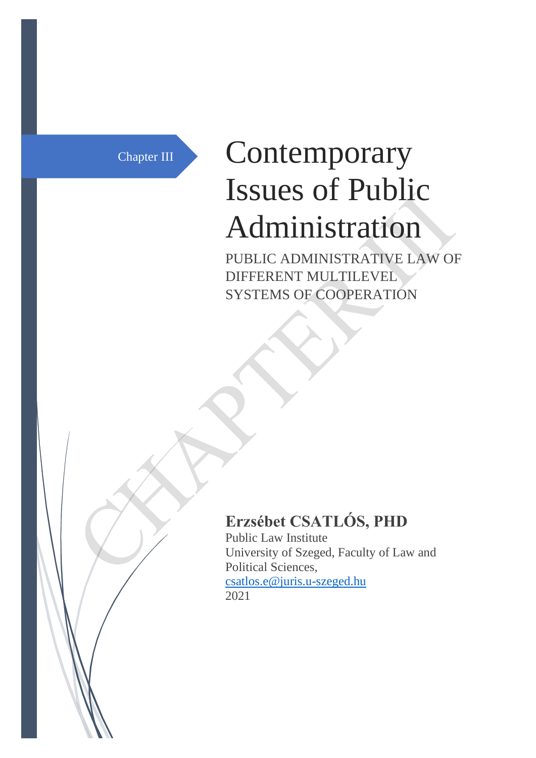# Chapter III Contemporary Issues of Public Administration

PUBLIC ADMINISTRATIVE LAW OF DIFFERENT MULTILEVEL SYSTEMS OF COOPERATION

# **Erzsébet CSATLÓS, PHD**

Public Law Institute University of Szeged, Faculty of Law and Political Sciences, [csatlos.e@juris.u-szeged.hu](mailto:csatlos.e@juris.u-szeged.hu) 2021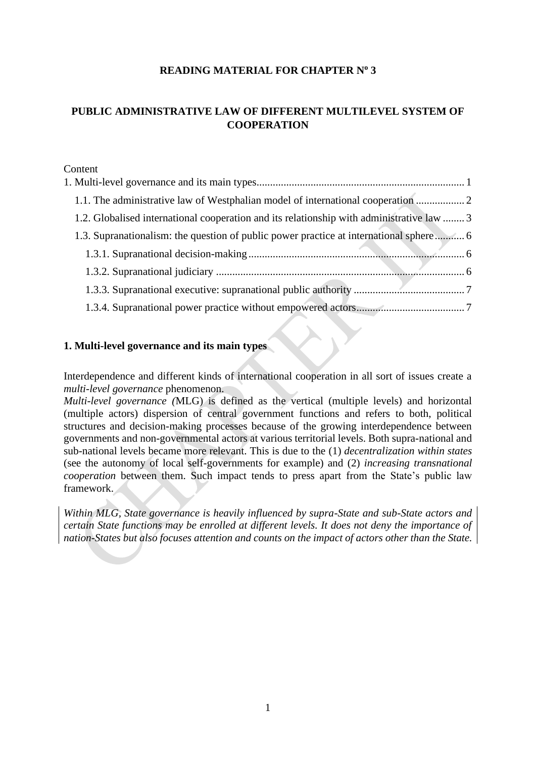# **READING MATERIAL FOR CHAPTER N<sup>o</sup> 3**

# **PUBLIC ADMINISTRATIVE LAW OF DIFFERENT MULTILEVEL SYSTEM OF COOPERATION**

Content

| 1.1. The administrative law of Westphalian model of international cooperation  2          |  |
|-------------------------------------------------------------------------------------------|--|
| 1.2. Globalised international cooperation and its relationship with administrative law  3 |  |
| 1.3. Supranationalism: the question of public power practice at international sphere 6    |  |
|                                                                                           |  |
|                                                                                           |  |
|                                                                                           |  |
|                                                                                           |  |

# <span id="page-1-0"></span>**1. Multi-level governance and its main types**

Interdependence and different kinds of international cooperation in all sort of issues create a *multi-level governance* phenomenon.

*Multi-level governance (*MLG) is defined as the vertical (multiple levels) and horizontal (multiple actors) dispersion of central government functions and refers to both, political structures and decision-making processes because of the growing interdependence between governments and non-governmental actors at various territorial levels. Both supra-national and sub-national levels became more relevant. This is due to the (1) *decentralization within states* (see the autonomy of local self-governments for example) and (2) *increasing transnational cooperation* between them. Such impact tends to press apart from the State's public law framework.

*Within MLG, State governance is heavily influenced by supra-State and sub-State actors and certain State functions may be enrolled at different levels. It does not deny the importance of nation-States but also focuses attention and counts on the impact of actors other than the State.*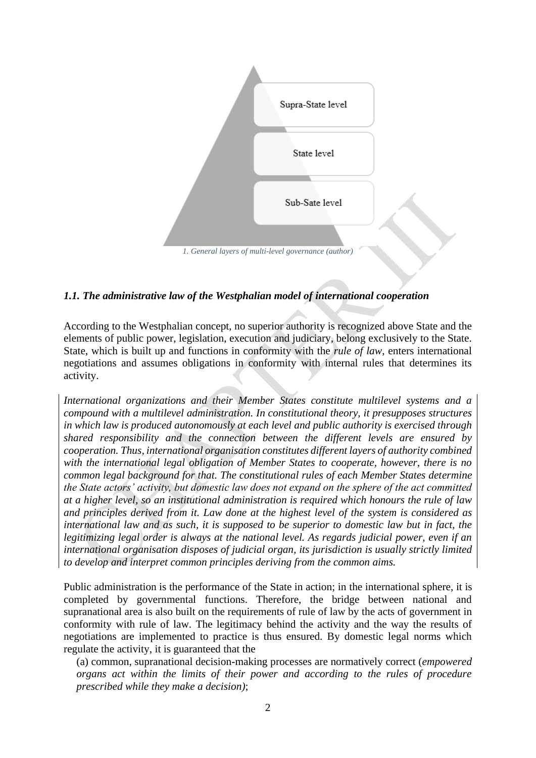

# <span id="page-2-0"></span>*1.1. The administrative law of the Westphalian model of international cooperation*

According to the Westphalian concept, no superior authority is recognized above State and the elements of public power, legislation, execution and judiciary, belong exclusively to the State. State, which is built up and functions in conformity with the *rule of law*, enters international negotiations and assumes obligations in conformity with internal rules that determines its activity.

*International organizations and their Member States constitute multilevel systems and a compound with a multilevel administration. In constitutional theory, it presupposes structures in which law is produced autonomously at each level and public authority is exercised through shared responsibility and the connection between the different levels are ensured by cooperation. Thus, international organisation constitutes different layers of authority combined with the international legal obligation of Member States to cooperate, however, there is no common legal background for that. The constitutional rules of each Member States determine the State actors' activity, but domestic law does not expand on the sphere of the act committed at a higher level, so an institutional administration is required which honours the rule of law and principles derived from it. Law done at the highest level of the system is considered as international law and as such, it is supposed to be superior to domestic law but in fact, the legitimizing legal order is always at the national level. As regards judicial power, even if an international organisation disposes of judicial organ, its jurisdiction is usually strictly limited to develop and interpret common principles deriving from the common aims.*

Public administration is the performance of the State in action; in the international sphere, it is completed by governmental functions. Therefore, the bridge between national and supranational area is also built on the requirements of rule of law by the acts of government in conformity with rule of law. The legitimacy behind the activity and the way the results of negotiations are implemented to practice is thus ensured. By domestic legal norms which regulate the activity, it is guaranteed that the

(a) common, supranational decision-making processes are normatively correct (*empowered organs act within the limits of their power and according to the rules of procedure prescribed while they make a decision)*;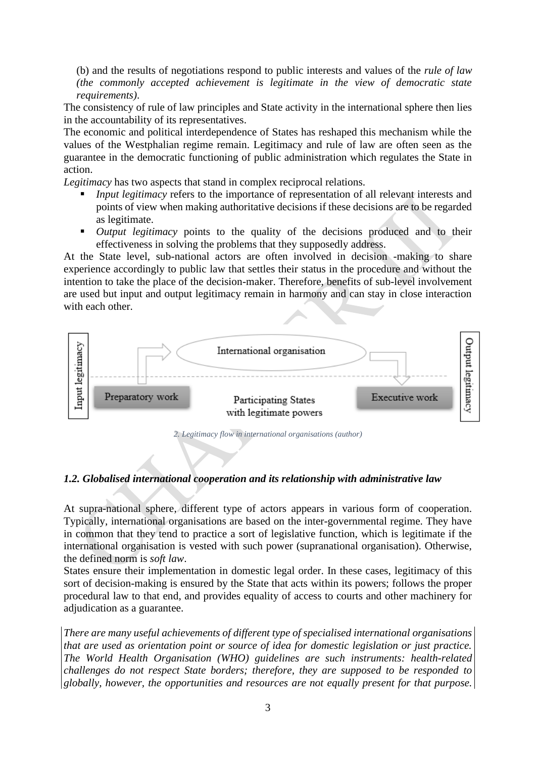(b) and the results of negotiations respond to public interests and values of the *rule of law (the commonly accepted achievement is legitimate in the view of democratic state requirements)*.

The consistency of rule of law principles and State activity in the international sphere then lies in the accountability of its representatives.

The economic and political interdependence of States has reshaped this mechanism while the values of the Westphalian regime remain. Legitimacy and rule of law are often seen as the guarantee in the democratic functioning of public administration which regulates the State in action.

*Legitimacy* has two aspects that stand in complex reciprocal relations.

- **•** *Input legitimacy* refers to the importance of representation of all relevant interests and points of view when making authoritative decisions if these decisions are to be regarded as legitimate.
- **•** *Output legitimacy* points to the quality of the decisions produced and to their effectiveness in solving the problems that they supposedly address.

At the State level, sub-national actors are often involved in decision -making to share experience accordingly to public law that settles their status in the procedure and without the intention to take the place of the decision-maker. Therefore, benefits of sub-level involvement are used but input and output legitimacy remain in harmony and can stay in close interaction with each other.



*2. Legitimacy flow in international organisations (author)*

#### <span id="page-3-0"></span>*1.2. Globalised international cooperation and its relationship with administrative law*

At supra-national sphere, different type of actors appears in various form of cooperation. Typically, international organisations are based on the inter-governmental regime. They have in common that they tend to practice a sort of legislative function, which is legitimate if the international organisation is vested with such power (supranational organisation). Otherwise, the defined norm is *soft law*.

States ensure their implementation in domestic legal order. In these cases, legitimacy of this sort of decision-making is ensured by the State that acts within its powers; follows the proper procedural law to that end, and provides equality of access to courts and other machinery for adjudication as a guarantee.

*There are many useful achievements of different type of specialised international organisations that are used as orientation point or source of idea for domestic legislation or just practice. The World Health Organisation (WHO) guidelines are such instruments: health-related challenges do not respect State borders; therefore, they are supposed to be responded to globally, however, the opportunities and resources are not equally present for that purpose.*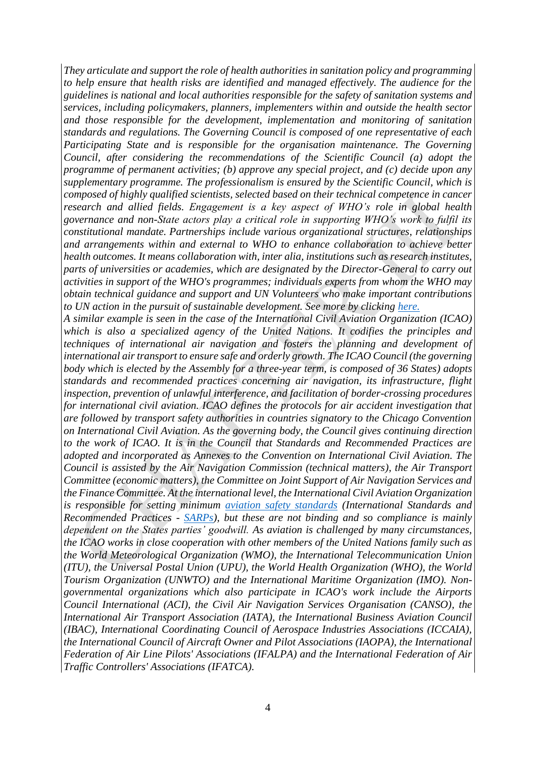*They articulate and support the role of health authorities in sanitation policy and programming to help ensure that health risks are identified and managed effectively. The audience for the guidelines is national and local authorities responsible for the safety of sanitation systems and services, including policymakers, planners, implementers within and outside the health sector and those responsible for the development, implementation and monitoring of sanitation standards and regulations. The Governing Council is composed of one representative of each Participating State and is responsible for the organisation maintenance. The Governing Council, after considering the recommendations of the Scientific Council (a) adopt the programme of permanent activities; (b) approve any special project, and (c) decide upon any supplementary programme. The professionalism is ensured by the Scientific Council, which is composed of highly qualified scientists, selected based on their technical competence in cancer research and allied fields. Engagement is a key aspect of WHO's role in global health governance and non-State actors play a critical role in supporting WHO's work to fulfil its constitutional mandate. Partnerships include various organizational structures, relationships and arrangements within and external to WHO to enhance collaboration to achieve better health outcomes. It means collaboration with, inter alia, institutions such as research institutes, parts of universities or academies, which are designated by the Director-General to carry out activities in support of the WHO's programmes; individuals experts from whom the WHO may obtain technical guidance and support and UN Volunteers who make important contributions to UN action in the pursuit of sustainable development. See more by clicking [here.](http://apps.who.int/gb/bd/PDF/bd48/basic-documents-48th-edition-en.pdf#page=199)*

*A similar example is seen in the case of the International Civil Aviation Organization (ICAO) which is also a specialized agency of the United Nations. It codifies the principles and techniques of international air navigation and fosters the planning and development of international air transport to ensure safe and orderly growth. The ICAO Council (the governing body which is elected by the Assembly for a three-year term, is composed of 36 States) adopts standards and recommended practices concerning air navigation, its infrastructure, flight inspection, prevention of unlawful interference, and facilitation of border-crossing procedures for international civil aviation. ICAO defines the protocols for air accident investigation that are followed by transport safety authorities in countries signatory to the Chicago Convention on International Civil Aviation. As the governing body, the Council gives continuing direction to the work of ICAO. It is in the Council that Standards and Recommended Practices are adopted and incorporated as Annexes to the Convention on International Civil Aviation. The Council is assisted by the Air Navigation Commission (technical matters), the Air Transport Committee (economic matters), the Committee on Joint Support of Air Navigation Services and the Finance Committee. At the international level, the International Civil Aviation Organization is responsible for setting minimum [aviation safety standards](https://www.icao.int/about-icao/FAQ/Pages/icao-frequently-asked-questions-faq-3.aspx) (International Standards and Recommended Practices - [SARPs\)](https://www.icao.int/about-icao/AirNavigationCommission/Pages/how-icao-develops-standards.aspx), but these are not binding and so compliance is mainly dependent on the States parties' goodwill. As aviation is challenged by many circumstances, the ICAO works in close cooperation with other members of the United Nations family such as the World Meteorological Organization (WMO), the International Telecommunication Union (ITU), the Universal Postal Union (UPU), the World Health Organization (WHO), the World Tourism Organization (UNWTO) and the International Maritime Organization (IMO). Nongovernmental organizations which also participate in ICAO's work include the Airports Council International (ACI), the Civil Air Navigation Services Organisation (CANSO), the International Air Transport Association (IATA), the International Business Aviation Council (IBAC), International Coordinating Council of Aerospace Industries Associations (ICCAIA), the International Council of Aircraft Owner and Pilot Associations (IAOPA), the International Federation of Air Line Pilots' Associations (IFALPA) and the International Federation of Air Traffic Controllers' Associations (IFATCA).*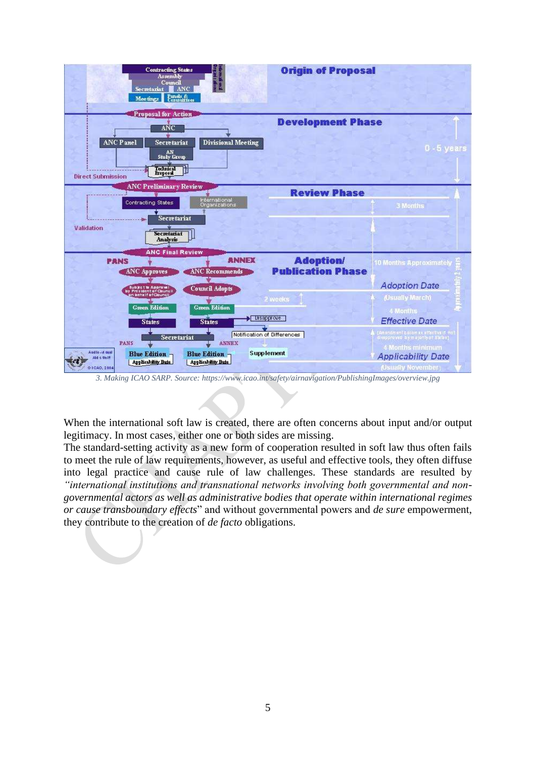

*3. Making ICAO SARP. Source: https://www.icao.int/safety/airnavigation/PublishingImages/overview.jpg*

When the international soft law is created, there are often concerns about input and/or output legitimacy. In most cases, either one or both sides are missing.

The standard-setting activity as a new form of cooperation resulted in soft law thus often fails to meet the rule of law requirements, however, as useful and effective tools, they often diffuse into legal practice and cause rule of law challenges. These standards are resulted by *"international institutions and transnational networks involving both governmental and nongovernmental actors as well as administrative bodies that operate within international regimes or cause transboundary effects*" and without governmental powers and *de sure* empowerment, they contribute to the creation of *de facto* obligations.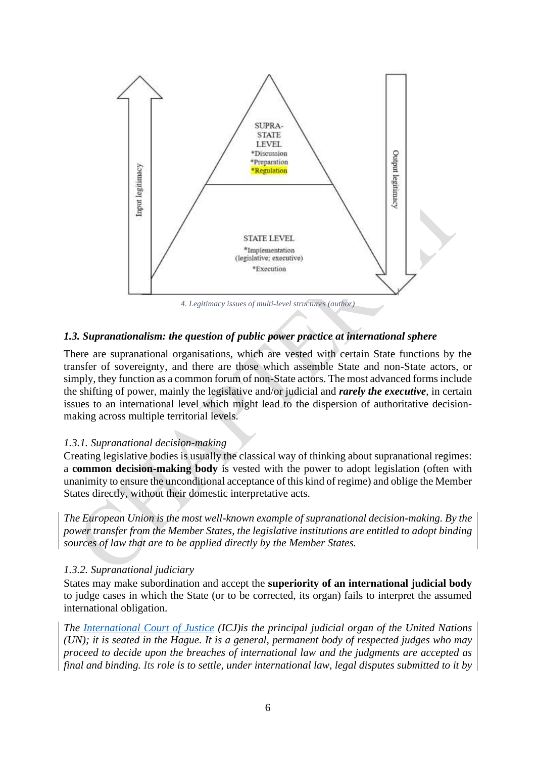

# <span id="page-6-0"></span>*1.3. Supranationalism: the question of public power practice at international sphere*

There are supranational organisations, which are vested with certain State functions by the transfer of sovereignty, and there are those which assemble State and non-State actors, or simply, they function as a common forum of non-State actors. The most advanced forms include the shifting of power, mainly the legislative and/or judicial and *rarely the executive*, in certain issues to an international level which might lead to the dispersion of authoritative decisionmaking across multiple territorial levels.

# <span id="page-6-1"></span>*1.3.1. Supranational decision-making*

Creating legislative bodies is usually the classical way of thinking about supranational regimes: a **common decision-making body** is vested with the power to adopt legislation (often with unanimity to ensure the unconditional acceptance of this kind of regime) and oblige the Member States directly, without their domestic interpretative acts.

*The European Union is the most well-known example of supranational decision-making. By the power transfer from the Member States, the legislative institutions are entitled to adopt binding sources of law that are to be applied directly by the Member States.*

# <span id="page-6-2"></span>*1.3.2. Supranational judiciary*

States may make subordination and accept the **superiority of an international judicial body** to judge cases in which the State (or to be corrected, its organ) fails to interpret the assumed international obligation.

*The [International Court of Justice](https://www.icj-cij.org/en/court) (ICJ)is the principal judicial organ of the United Nations (UN); it is seated in the Hague. It is a general, permanent body of respected judges who may proceed to decide upon the breaches of international law and the judgments are accepted as final and binding. Its role is to settle, under international law, legal disputes submitted to it by*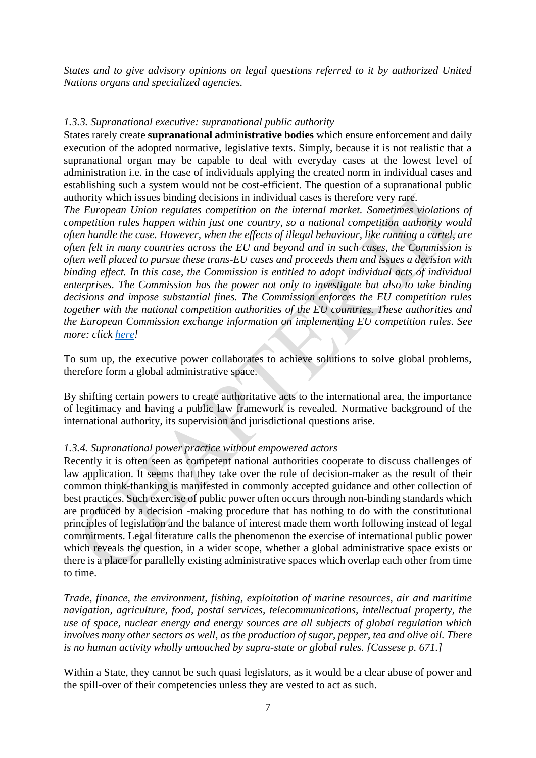*States and to give advisory opinions on legal questions referred to it by authorized United Nations organs and specialized agencies.*

# <span id="page-7-0"></span>*1.3.3. Supranational executive: supranational public authority*

States rarely create **supranational administrative bodies** which ensure enforcement and daily execution of the adopted normative, legislative texts. Simply, because it is not realistic that a supranational organ may be capable to deal with everyday cases at the lowest level of administration i.e. in the case of individuals applying the created norm in individual cases and establishing such a system would not be cost-efficient. The question of a supranational public authority which issues binding decisions in individual cases is therefore very rare.

*The European Union regulates competition on the internal market. Sometimes violations of competition rules happen within just one country, so a national competition authority would often handle the case. However, when the effects of illegal behaviour, like running a cartel, are often felt in many countries across the EU and beyond and in such cases, the Commission is often well placed to pursue these trans-EU cases and proceeds them and issues a decision with binding effect. In this case, the Commission is entitled to adopt individual acts of individual enterprises. The Commission has the power not only to investigate but also to take binding decisions and impose substantial fines. The Commission enforces the EU competition rules together with the national competition authorities of the EU countries. These authorities and the European Commission exchange information on implementing EU competition rules. See more: click [here!](https://ec.europa.eu/competition/general/overview_en.html)*

To sum up, the executive power collaborates to achieve solutions to solve global problems, therefore form a global administrative space.

By shifting certain powers to create authoritative acts to the international area, the importance of legitimacy and having a public law framework is revealed. Normative background of the international authority, its supervision and jurisdictional questions arise.

#### <span id="page-7-1"></span>*1.3.4. Supranational power practice without empowered actors*

Recently it is often seen as competent national authorities cooperate to discuss challenges of law application. It seems that they take over the role of decision-maker as the result of their common think-thanking is manifested in commonly accepted guidance and other collection of best practices. Such exercise of public power often occurs through non-binding standards which are produced by a decision -making procedure that has nothing to do with the constitutional principles of legislation and the balance of interest made them worth following instead of legal commitments. Legal literature calls the phenomenon the exercise of international public power which reveals the question, in a wider scope, whether a global administrative space exists or there is a place for parallelly existing administrative spaces which overlap each other from time to time.

*Trade, finance, the environment, fishing, exploitation of marine resources, air and maritime navigation, agriculture, food, postal services, telecommunications, intellectual property, the use of space, nuclear energy and energy sources are all subjects of global regulation which involves many other sectors as well, as the production of sugar, pepper, tea and olive oil. There is no human activity wholly untouched by supra-state or global rules. [Cassese p. 671.]*

Within a State, they cannot be such quasi legislators, as it would be a clear abuse of power and the spill-over of their competencies unless they are vested to act as such.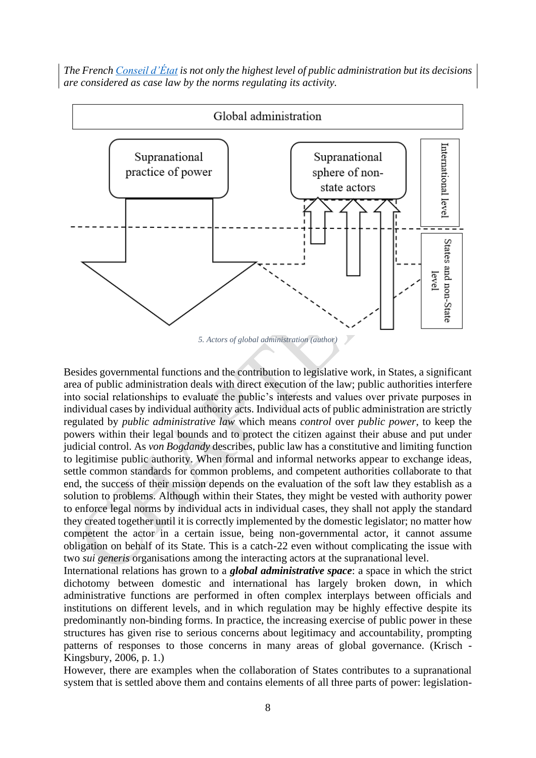*The French [Conseil d'État](https://www.britannica.com/topic/Conseil-dEtat) is not only the highest level of public administration but its decisions are considered as case law by the norms regulating its activity.*



*5. Actors of global administration (author)*

Besides governmental functions and the contribution to legislative work, in States, a significant area of public administration deals with direct execution of the law; public authorities interfere into social relationships to evaluate the public's interests and values over private purposes in individual cases by individual authority acts. Individual acts of public administration are strictly regulated by *public administrative law* which means *control* over *public power*, to keep the powers within their legal bounds and to protect the citizen against their abuse and put under judicial control. As *von Bogdandy* describes, public law has a constitutive and limiting function to legitimise public authority. When formal and informal networks appear to exchange ideas, settle common standards for common problems, and competent authorities collaborate to that end, the success of their mission depends on the evaluation of the soft law they establish as a solution to problems. Although within their States, they might be vested with authority power to enforce legal norms by individual acts in individual cases, they shall not apply the standard they created together until it is correctly implemented by the domestic legislator; no matter how competent the actor in a certain issue, being non-governmental actor, it cannot assume obligation on behalf of its State. This is a catch-22 even without complicating the issue with two *sui generis* organisations among the interacting actors at the supranational level.

International relations has grown to a *global administrative space*: a space in which the strict dichotomy between domestic and international has largely broken down, in which administrative functions are performed in often complex interplays between officials and institutions on different levels, and in which regulation may be highly effective despite its predominantly non-binding forms. In practice, the increasing exercise of public power in these structures has given rise to serious concerns about legitimacy and accountability, prompting patterns of responses to those concerns in many areas of global governance. (Krisch - Kingsbury, 2006, p. 1.)

However, there are examples when the collaboration of States contributes to a supranational system that is settled above them and contains elements of all three parts of power: legislation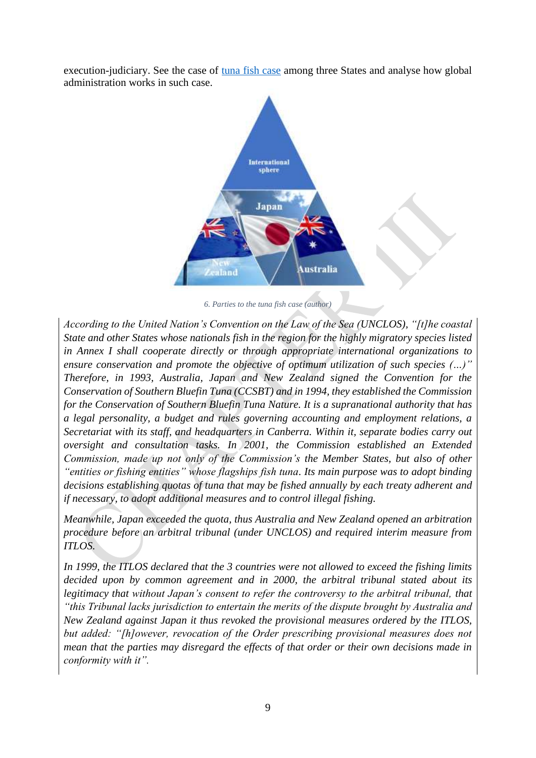execution-judiciary. See the case of [tuna fish case](http://legal.un.org/riaa/cases/vol_XXIII/1-57.pdf) among three States and analyse how global administration works in such case.



*6. Parties to the tuna fish case (author)*

*According to the United Nation's Convention on the Law of the Sea (UNCLOS), "[t]he coastal State and other States whose nationals fish in the region for the highly migratory species listed in Annex I shall cooperate directly or through appropriate international organizations to ensure conservation and promote the objective of optimum utilization of such species (…)" Therefore, in 1993, Australia, Japan and New Zealand signed the Convention for the Conservation of Southern Bluefin Tuna (CCSBT) and in 1994, they established the Commission for the Conservation of Southern Bluefin Tuna Nature. It is a supranational authority that has a legal personality, a budget and rules governing accounting and employment relations, a Secretariat with its staff, and headquarters in Canberra. Within it, separate bodies carry out oversight and consultation tasks. In 2001, the Commission established an Extended Commission, made up not only of the Commission's the Member States, but also of other "entities or fishing entities" whose flagships fish tuna. Its main purpose was to adopt binding decisions establishing quotas of tuna that may be fished annually by each treaty adherent and if necessary, to adopt additional measures and to control illegal fishing.* 

*Meanwhile, Japan exceeded the quota, thus Australia and New Zealand opened an arbitration procedure before an arbitral tribunal (under UNCLOS) and required interim measure from ITLOS.* 

*In 1999, the ITLOS declared that the 3 countries were not allowed to exceed the fishing limits decided upon by common agreement and in 2000, the arbitral tribunal stated about its legitimacy that without Japan's consent to refer the controversy to the arbitral tribunal, that "this Tribunal lacks jurisdiction to entertain the merits of the dispute brought by Australia and New Zealand against Japan it thus revoked the provisional measures ordered by the ITLOS, but added: "[h]owever, revocation of the Order prescribing provisional measures does not mean that the parties may disregard the effects of that order or their own decisions made in conformity with it".*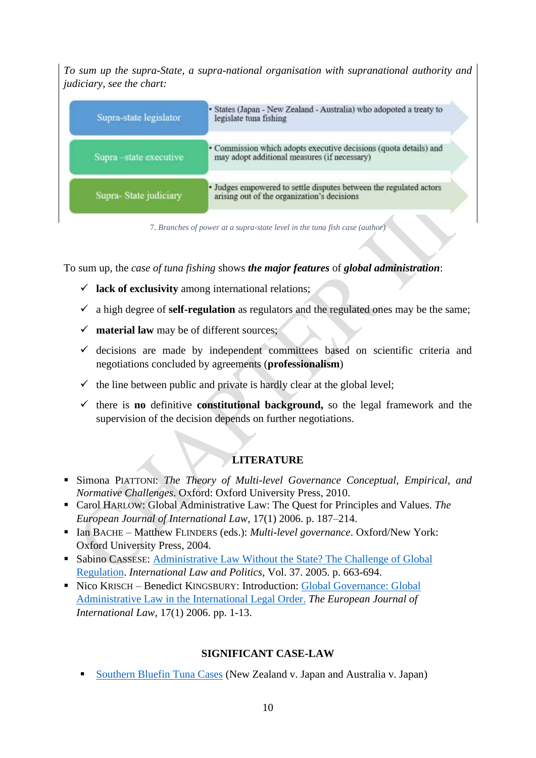*To sum up the supra-State, a supra-national organisation with supranational authority and judiciary, see the chart:*

| Supra-state legislator | · States (Japan - New Zealand - Australia) who adopoted a treaty to<br>legislate tuna fishing                     |
|------------------------|-------------------------------------------------------------------------------------------------------------------|
| Supra-state executive  | • Commission which adopts executive decisions (quota details) and<br>may adopt additional measures (if necessary) |
| Supra-State judiciary  | · Judges empowered to settle disputes between the regulated actors<br>arising out of the organization's decisions |

7*. Branches of power at a supra-state level in the tuna fish case (author)*

To sum up, the *case of tuna fishing* shows *the major features* of *global administration*:

- ✓ **lack of exclusivity** among international relations;
- $\checkmark$  a high degree of **self-regulation** as regulators and the regulated ones may be the same;
- ✓ **material law** may be of different sources;
- $\checkmark$  decisions are made by independent committees based on scientific criteria and negotiations concluded by agreements (**professionalism**)
- $\checkmark$  the line between public and private is hardly clear at the global level;
- ✓ there is **no** definitive **constitutional background,** so the legal framework and the supervision of the decision depends on further negotiations.

# **LITERATURE**

- Simona PIATTONI: *The Theory of Multi-level Governance Conceptual, Empirical, and Normative Challenges*. Oxford: Oxford University Press, 2010.
- Carol HARLOW: Global Administrative Law: The Quest for Principles and Values. The *European Journal of International Law,* 17(1) 2006. p. 187–214.
- Ian BACHE Matthew FLINDERS (eds.): *Multi-level governance*. Oxford/New York: Oxford University Press, 2004.
- Sabino CASSESE: Administrative Law Without the State? The Challenge of Global [Regulation.](http://iilj.org/wp-content/uploads/2016/08/Cassese-Administrative-Law-Without-the-State-2005.pdf) *International Law and Politics,* Vol. 37. 2005. p. 663-694.
- Nico KRISCH Benedict KINGSBURY: Introduction: Global Governance: Global [Administrative Law in the International Legal Order.](https://watermark.silverchair.com/chi170.pdf?token=AQECAHi208BE49Ooan9kkhW_Ercy7Dm3ZL_9Cf3qfKAc485ysgAAAj0wggI5BgkqhkiG9w0BBwagggIqMIICJgIBADCCAh8GCSqGSIb3DQEHATAeBglghkgBZQMEAS4wEQQM8YuypE8mnP0_SO71AgEQgIIB8D56gGFb0R8BqiaFSZgDJL6dkzqzmJijocScXJ4ahRn7tjhBRcUs2o2hRk-eYpsQP5L-_fnsLx2Rh__XkVYaUBk74Ep1JpbfSrRAF-Wef2THGwFUtEvqwafKUtqS3i8E16gVj6MZMJyIGEowtaUu1TcyEpaL_3tJudfWPHhMuaXb5Kwliq4GFH07DkpmBr_QFNiFtOoOUEOYcncZEXPfu_kmGh1_dCNd_5aC-lkn1q5Ojo5GqujsHQvxGJdgeq3kUehKF-PuTCpMfXxplQ5rKvHujJjl5CVEvxPVkY3V5iaLIxcnvmmWfb5FpARl_pb_XCPgdre4dxJ4cpLuqsdXrLU91TiJskUr5KJ6ytxxRfvM9-G7obK22VUYb9ZvSesCS7JRNtdVfhGvSE-q0Pi8X_0YM_kL5GDHEFRmAetz-pC1-_Dakkndk4z_Lu7E4tsT3NarLmkxBk573lQbsrMIbJVj9vXCRQ5gBmhmOot7E02OQBe45Zs4N7QpbRCCR-OIU87tkPuvXocZw7szx3EkSnvExbupS7L5tO9RodADIhYYuFP0Ntkvn4yjWfjcoZMkB2yKTS3Hwh9pN3lqD62LU6_sVWWfi6ywkvjJtmwFsNa2-khNizNEQZgeJHStljTSi0L82D72NJtyORmlsdGvg_I) *The European Journal of International Law*, 17(1) 2006. pp. 1-13.

# **SIGNIFICANT CASE-LAW**

**[Southern Bluefin Tuna Cases](http://legal.un.org/riaa/cases/vol_XXIII/1-57.pdf) (New Zealand v. Japan and Australia v. Japan)**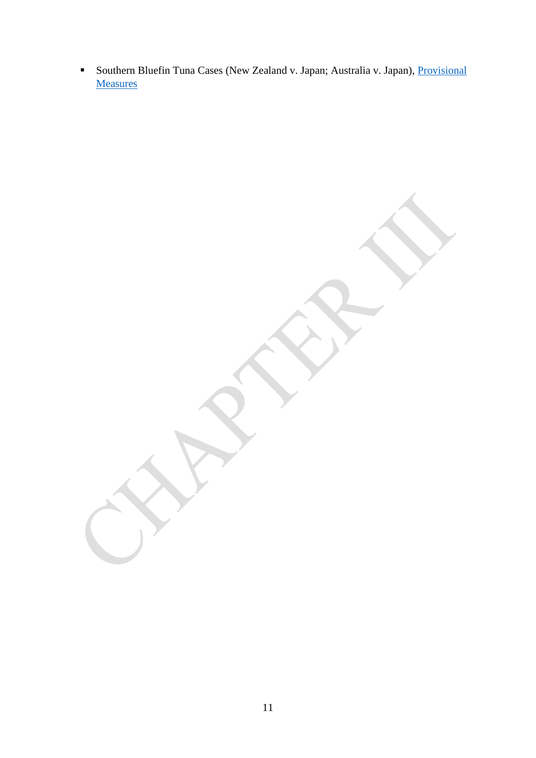**EXECTED FINDS IN SOUTHERS IN SOUTHERS IN STARK IS CONTEX SET OF SOUTHERS IN SOUTHERS IN SOUTHERS IN SOUTHERS IN SOUTHERS IN SOUTHERS IN SOUTHERS IN SOUTHERS IN SOUTHERS IN SOUTHERS IN SOUTHERS IN SOUTHERS IN SOUTHERS IN S [Measures](https://www.itlos.org/cases/list-of-cases/case-no-3-4/)**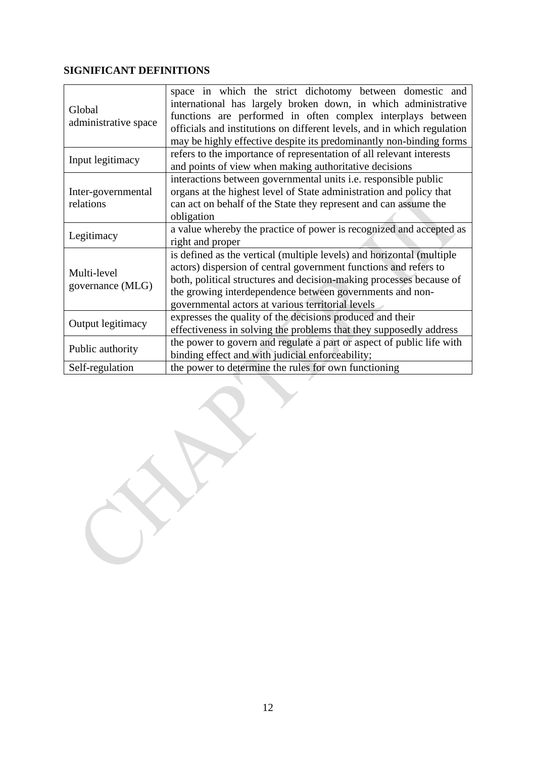# **SIGNIFICANT DEFINITIONS**

| Global<br>administrative space  | space in which the strict dichotomy between domestic and<br>international has largely broken down, in which administrative<br>functions are performed in often complex interplays between<br>officials and institutions on different levels, and in which regulation<br>may be highly effective despite its predominantly non-binding forms |  |  |
|---------------------------------|---------------------------------------------------------------------------------------------------------------------------------------------------------------------------------------------------------------------------------------------------------------------------------------------------------------------------------------------|--|--|
| Input legitimacy                | refers to the importance of representation of all relevant interests<br>and points of view when making authoritative decisions                                                                                                                                                                                                              |  |  |
| Inter-governmental<br>relations | interactions between governmental units i.e. responsible public<br>organs at the highest level of State administration and policy that<br>can act on behalf of the State they represent and can assume the<br>obligation                                                                                                                    |  |  |
| Legitimacy                      | a value whereby the practice of power is recognized and accepted as<br>right and proper                                                                                                                                                                                                                                                     |  |  |
| Multi-level<br>governance (MLG) | is defined as the vertical (multiple levels) and horizontal (multiple<br>actors) dispersion of central government functions and refers to<br>both, political structures and decision-making processes because of<br>the growing interdependence between governments and non-<br>governmental actors at various territorial levels           |  |  |
| Output legitimacy               | expresses the quality of the decisions produced and their<br>effectiveness in solving the problems that they supposedly address                                                                                                                                                                                                             |  |  |
| Public authority                | the power to govern and regulate a part or aspect of public life with<br>binding effect and with judicial enforceability;                                                                                                                                                                                                                   |  |  |
| Self-regulation                 | the power to determine the rules for own functioning                                                                                                                                                                                                                                                                                        |  |  |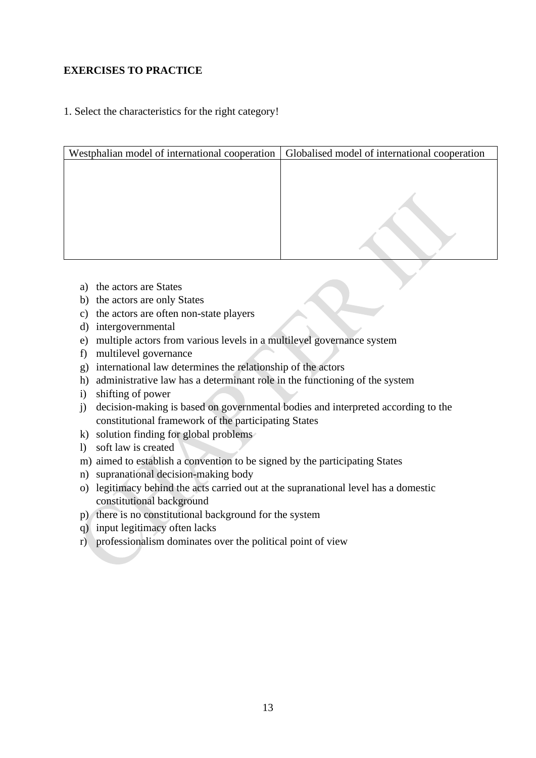# **EXERCISES TO PRACTICE**

# 1. Select the characteristics for the right category!

| Globalised model of international cooperation |
|-----------------------------------------------|
|                                               |
|                                               |
|                                               |
|                                               |
|                                               |
|                                               |
|                                               |

- a) the actors are States
- b) the actors are only States
- c) the actors are often non-state players
- d) intergovernmental
- e) multiple actors from various levels in a multilevel governance system
- f) multilevel governance
- g) international law determines the relationship of the actors
- h) administrative law has a determinant role in the functioning of the system
- i) shifting of power
- j) decision-making is based on governmental bodies and interpreted according to the constitutional framework of the participating States
- k) solution finding for global problems
- l) soft law is created
- m) aimed to establish a convention to be signed by the participating States
- n) supranational decision-making body
- o) legitimacy behind the acts carried out at the supranational level has a domestic constitutional background
- p) there is no constitutional background for the system
- q) input legitimacy often lacks
- r) professionalism dominates over the political point of view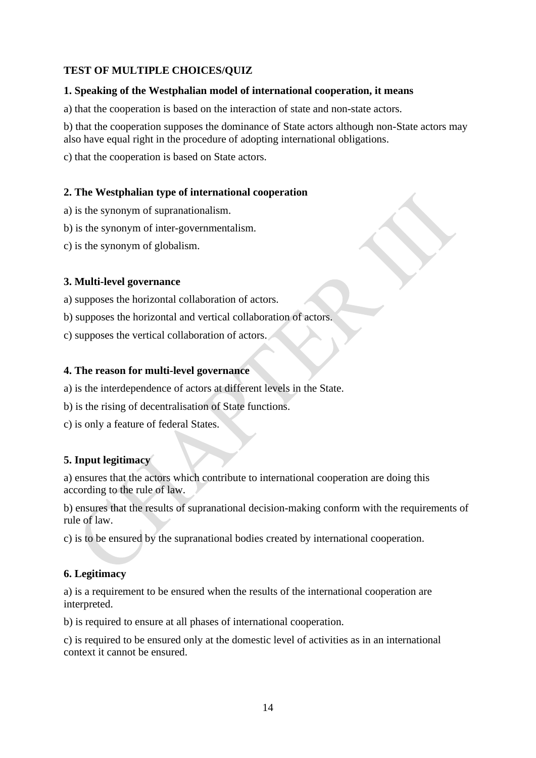# **TEST OF MULTIPLE CHOICES/QUIZ**

# **1. Speaking of the Westphalian model of international cooperation, it means**

a) that the cooperation is based on the interaction of state and non-state actors.

b) that the cooperation supposes the dominance of State actors although non-State actors may also have equal right in the procedure of adopting international obligations.

c) that the cooperation is based on State actors.

# **2. The Westphalian type of international cooperation**

- a) is the synonym of supranationalism.
- b) is the synonym of inter-governmentalism.
- c) is the synonym of globalism.

# **3. Multi-level governance**

a) supposes the horizontal collaboration of actors.

b) supposes the horizontal and vertical collaboration of actors.

c) supposes the vertical collaboration of actors.

# **4. The reason for multi-level governance**

- a) is the interdependence of actors at different levels in the State.
- b) is the rising of decentralisation of State functions.
- c) is only a feature of federal States.

# **5. Input legitimacy**

a) ensures that the actors which contribute to international cooperation are doing this according to the rule of law.

b) ensures that the results of supranational decision-making conform with the requirements of rule of law.

c) is to be ensured by the supranational bodies created by international cooperation.

# **6. Legitimacy**

a) is a requirement to be ensured when the results of the international cooperation are interpreted.

b) is required to ensure at all phases of international cooperation.

c) is required to be ensured only at the domestic level of activities as in an international context it cannot be ensured.